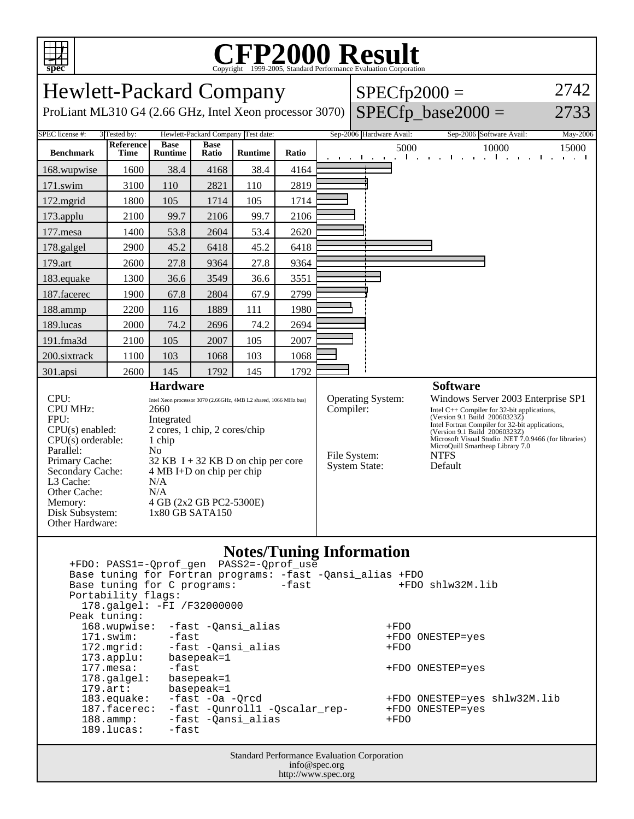

## C<sub>opyright</sub> ©1999-2005, Standard Performance Evaluation Corporation

| <b>Hewlett-Packard Company</b>                                                                                                                                                                                                                                                                                                                                                                                                                                                                  |                                                                                                                                                   |                                                                                  |                                                                                        |                                                                                                                    |                                                                                                                                                                                                                                                                                                                                                                                                           |                               | 2742<br>$SPECfp2000 =$ |                                                                                                 |                                                                                                                                                                                                                                                                                                                   |
|-------------------------------------------------------------------------------------------------------------------------------------------------------------------------------------------------------------------------------------------------------------------------------------------------------------------------------------------------------------------------------------------------------------------------------------------------------------------------------------------------|---------------------------------------------------------------------------------------------------------------------------------------------------|----------------------------------------------------------------------------------|----------------------------------------------------------------------------------------|--------------------------------------------------------------------------------------------------------------------|-----------------------------------------------------------------------------------------------------------------------------------------------------------------------------------------------------------------------------------------------------------------------------------------------------------------------------------------------------------------------------------------------------------|-------------------------------|------------------------|-------------------------------------------------------------------------------------------------|-------------------------------------------------------------------------------------------------------------------------------------------------------------------------------------------------------------------------------------------------------------------------------------------------------------------|
| ProLiant ML310 G4 (2.66 GHz, Intel Xeon processor 3070)                                                                                                                                                                                                                                                                                                                                                                                                                                         |                                                                                                                                                   |                                                                                  |                                                                                        |                                                                                                                    |                                                                                                                                                                                                                                                                                                                                                                                                           |                               |                        |                                                                                                 | 2733                                                                                                                                                                                                                                                                                                              |
|                                                                                                                                                                                                                                                                                                                                                                                                                                                                                                 |                                                                                                                                                   |                                                                                  |                                                                                        |                                                                                                                    |                                                                                                                                                                                                                                                                                                                                                                                                           |                               |                        | Sep-2006 Software Avail:                                                                        | May-2006                                                                                                                                                                                                                                                                                                          |
| Reference<br>Time                                                                                                                                                                                                                                                                                                                                                                                                                                                                               | <b>Base</b><br><b>Runtime</b>                                                                                                                     | <b>Base</b><br>Ratio                                                             | <b>Runtime</b>                                                                         | Ratio                                                                                                              |                                                                                                                                                                                                                                                                                                                                                                                                           |                               |                        | 10000<br>$\mathbf{L}$<br>$\sim$<br>$\mathbf{u} = \mathbf{u} + \mathbf{u}$ .                     | 15000<br><b>College</b><br>and and                                                                                                                                                                                                                                                                                |
| 1600                                                                                                                                                                                                                                                                                                                                                                                                                                                                                            | 38.4                                                                                                                                              | 4168                                                                             | 38.4                                                                                   | 4164                                                                                                               |                                                                                                                                                                                                                                                                                                                                                                                                           |                               |                        |                                                                                                 |                                                                                                                                                                                                                                                                                                                   |
| 3100                                                                                                                                                                                                                                                                                                                                                                                                                                                                                            | 110                                                                                                                                               | 2821                                                                             | 110                                                                                    | 2819                                                                                                               |                                                                                                                                                                                                                                                                                                                                                                                                           |                               |                        |                                                                                                 |                                                                                                                                                                                                                                                                                                                   |
| 1800                                                                                                                                                                                                                                                                                                                                                                                                                                                                                            | 105                                                                                                                                               | 1714                                                                             | 105                                                                                    | 1714                                                                                                               |                                                                                                                                                                                                                                                                                                                                                                                                           |                               |                        |                                                                                                 |                                                                                                                                                                                                                                                                                                                   |
| 2100                                                                                                                                                                                                                                                                                                                                                                                                                                                                                            | 99.7                                                                                                                                              | 2106                                                                             | 99.7                                                                                   | 2106                                                                                                               |                                                                                                                                                                                                                                                                                                                                                                                                           |                               |                        |                                                                                                 |                                                                                                                                                                                                                                                                                                                   |
| 1400                                                                                                                                                                                                                                                                                                                                                                                                                                                                                            | 53.8                                                                                                                                              | 2604                                                                             | 53.4                                                                                   | 2620                                                                                                               |                                                                                                                                                                                                                                                                                                                                                                                                           |                               |                        |                                                                                                 |                                                                                                                                                                                                                                                                                                                   |
| 2900                                                                                                                                                                                                                                                                                                                                                                                                                                                                                            | 45.2                                                                                                                                              | 6418                                                                             | 45.2                                                                                   | 6418                                                                                                               |                                                                                                                                                                                                                                                                                                                                                                                                           |                               |                        |                                                                                                 |                                                                                                                                                                                                                                                                                                                   |
| 2600                                                                                                                                                                                                                                                                                                                                                                                                                                                                                            | 27.8                                                                                                                                              | 9364                                                                             | 27.8                                                                                   | 9364                                                                                                               |                                                                                                                                                                                                                                                                                                                                                                                                           |                               |                        |                                                                                                 |                                                                                                                                                                                                                                                                                                                   |
| 1300                                                                                                                                                                                                                                                                                                                                                                                                                                                                                            | 36.6                                                                                                                                              | 3549                                                                             | 36.6                                                                                   | 3551                                                                                                               |                                                                                                                                                                                                                                                                                                                                                                                                           |                               |                        |                                                                                                 |                                                                                                                                                                                                                                                                                                                   |
| 1900                                                                                                                                                                                                                                                                                                                                                                                                                                                                                            | 67.8                                                                                                                                              | 2804                                                                             | 67.9                                                                                   | 2799                                                                                                               |                                                                                                                                                                                                                                                                                                                                                                                                           |                               |                        |                                                                                                 |                                                                                                                                                                                                                                                                                                                   |
| 2200                                                                                                                                                                                                                                                                                                                                                                                                                                                                                            | 116                                                                                                                                               | 1889                                                                             | 111                                                                                    | 1980                                                                                                               |                                                                                                                                                                                                                                                                                                                                                                                                           |                               |                        |                                                                                                 |                                                                                                                                                                                                                                                                                                                   |
| 2000                                                                                                                                                                                                                                                                                                                                                                                                                                                                                            | 74.2                                                                                                                                              | 2696                                                                             | 74.2                                                                                   | 2694                                                                                                               |                                                                                                                                                                                                                                                                                                                                                                                                           |                               |                        |                                                                                                 |                                                                                                                                                                                                                                                                                                                   |
| 2100                                                                                                                                                                                                                                                                                                                                                                                                                                                                                            | 105                                                                                                                                               | 2007                                                                             | 105                                                                                    | 2007                                                                                                               |                                                                                                                                                                                                                                                                                                                                                                                                           |                               |                        |                                                                                                 |                                                                                                                                                                                                                                                                                                                   |
| 1100                                                                                                                                                                                                                                                                                                                                                                                                                                                                                            | 103                                                                                                                                               | 1068                                                                             | 103                                                                                    | 1068                                                                                                               |                                                                                                                                                                                                                                                                                                                                                                                                           |                               |                        |                                                                                                 |                                                                                                                                                                                                                                                                                                                   |
| 2600                                                                                                                                                                                                                                                                                                                                                                                                                                                                                            | 145                                                                                                                                               | 1792                                                                             | 145                                                                                    | 1792                                                                                                               |                                                                                                                                                                                                                                                                                                                                                                                                           |                               |                        |                                                                                                 |                                                                                                                                                                                                                                                                                                                   |
| CPU:<br>Intel Xeon processor 3070 (2.66GHz, 4MB L2 shared, 1066 MHz bus)<br>CPU MHz:<br>2660<br>FPU:<br>Integrated<br>2 cores, 1 chip, 2 cores/chip<br>$CPU(s)$ enabled:<br>$CPU(s)$ orderable:<br>1 chip<br>Parallel:<br>N <sub>0</sub><br>Primary Cache:<br>$32$ KB I + 32 KB D on chip per core<br>Secondary Cache:<br>$4 MB I+D$ on chip per chip<br>L3 Cache:<br>N/A<br>Other Cache:<br>N/A<br>4 GB (2x2 GB PC2-5300E)<br>Memory:<br>Disk Subsystem:<br>1x80 GB SATA150<br>Other Hardware: |                                                                                                                                                   |                                                                                  |                                                                                        |                                                                                                                    | Operating System:<br>Windows Server 2003 Enterprise SP1<br>Compiler:<br>Intel $C++$ Compiler for 32-bit applications,<br>(Version 9.1 Build 20060323Z)<br>Intel Fortran Compiler for 32-bit applications,<br>(Version 9.1 Build 20060323Z)<br>Microsoft Visual Studio .NET 7.0.9466 (for libraries)<br>MicroQuill Smartheap Library 7.0<br>File System:<br><b>NTFS</b><br>Default<br><b>System State:</b> |                               |                        |                                                                                                 |                                                                                                                                                                                                                                                                                                                   |
|                                                                                                                                                                                                                                                                                                                                                                                                                                                                                                 |                                                                                                                                                   |                                                                                  |                                                                                        | -fast                                                                                                              |                                                                                                                                                                                                                                                                                                                                                                                                           |                               | +FDO<br>$+FDO$         |                                                                                                 |                                                                                                                                                                                                                                                                                                                   |
|                                                                                                                                                                                                                                                                                                                                                                                                                                                                                                 | 3 Tested by:<br>Peak tuning:<br>$171$ .swim:<br>172.mgrid:<br>$173.\text{applu}:$<br>$177.$ mesa:<br>$179.\text{art}:$<br>188.ammp:<br>189.lucas: | Portability flags:<br>168.wupwise:<br>178.galgel:<br>183.equake:<br>187.facerec: | <b>Hardware</b><br>$-fast$<br>basepeak=1<br>-fast<br>basepeak=1<br>basepeak=1<br>-fast | Hewlett-Packard Company Test date:<br>Base tuning for C programs:<br>178.galgel: -FI /F32000000<br>-fast -Oa -Qrcd | -fast -Qansi_alias<br>-fast -Qansi_alias<br>-fast -Qansi_alias                                                                                                                                                                                                                                                                                                                                            | -fast -Qunroll1 -Qscalar_rep- |                        | Sep-2006 Hardware Avail:<br>the contract of the con-<br><b>Notes/Tuning Information</b><br>+FDO | Copyright ©1999-2005, Standard Performance Evaluation Corporation<br>$SPECfp\_base2000 =$<br>5000<br>The Contract<br><b>Software</b><br>Base tuning for Fortran programs: -fast -Qansi_alias +FDO<br>+FDO shlw32M.lib<br>+FDO ONESTEP=yes<br>+FDO ONESTEP=yes<br>+FDO ONESTEP=yes shlw32M.lib<br>+FDO ONESTEP=yes |

Standard Performance Evaluation Corporation info@spec.org http://www.spec.org